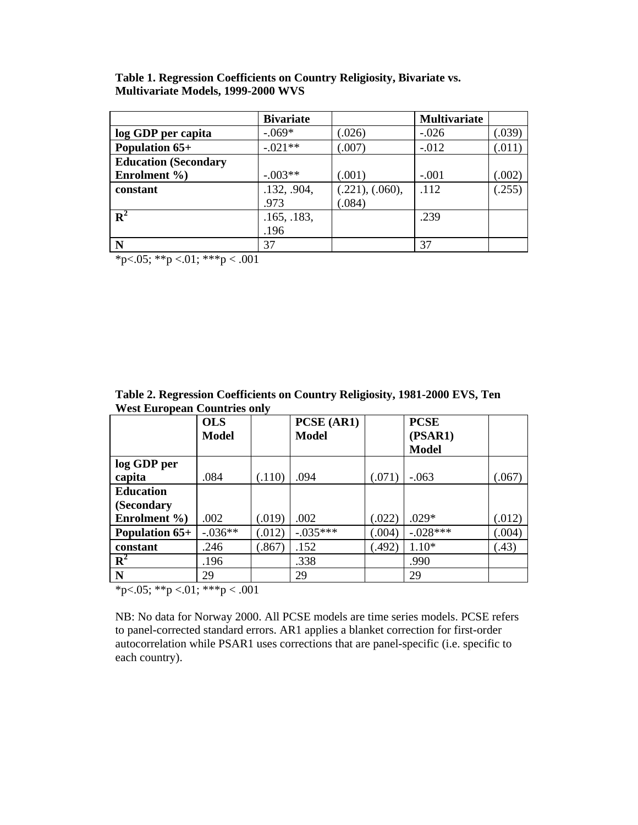| Table 1. Regression Coefficients on Country Religiosity, Bivariate vs. |  |
|------------------------------------------------------------------------|--|
| <b>Multivariate Models, 1999-2000 WVS</b>                              |  |

|                             | <b>Bivariate</b> |                 | <b>Multivariate</b> |        |
|-----------------------------|------------------|-----------------|---------------------|--------|
| log GDP per capita          | $-.069*$         | (.026)          | $-.026$             | (.039) |
| Population 65+              | $-.021**$        | (.007)          | $-.012$             | (.011) |
| <b>Education (Secondary</b> |                  |                 |                     |        |
| Enrolment %)                | $-.003**$        | (.001)          | $-.001$             | (.002) |
| constant                    | .132, .904,      | (.221), (.060), | .112                | (.255) |
|                             | .973             | (.084)          |                     |        |
| ${\bf R}^2$                 | .165, .183,      |                 | .239                |        |
|                             | .196             |                 |                     |        |
| N                           | 37               |                 | 37                  |        |

\*p<.05; \*\*p <.01; \*\*\*p <.001

| West European Countries only |                           |        |                            |        |                         |        |  |
|------------------------------|---------------------------|--------|----------------------------|--------|-------------------------|--------|--|
|                              | <b>OLS</b><br>Model       |        | PCSE (AR1)<br><b>Model</b> |        | <b>PCSE</b>             |        |  |
|                              |                           |        |                            |        | (PSAR1)<br><b>Model</b> |        |  |
| log GDP per                  |                           |        |                            |        |                         |        |  |
| capita                       | .084                      | (.110) | .094                       | (.071) | $-.063$                 | (.067) |  |
| <b>Education</b>             |                           |        |                            |        |                         |        |  |
| (Secondary                   |                           |        |                            |        |                         |        |  |
| Enrolment %)                 | .002                      | (.019) | .002                       | (.022) | $.029*$                 | (.012) |  |
| <b>Population 65+</b>        | $-.036**$                 | (.012) | $-.035***$                 | (.004) | $-.028***$              | (.004) |  |
| constant                     | .246                      | (.867) | .152                       | (.492) | $1.10*$                 | (.43)  |  |
| $\mathbf{R}^2$               | .196                      |        | .338                       |        | .990                    |        |  |
| N                            | 29                        |        | 29                         |        | 29                      |        |  |
| $\sim$ $ \sim$ $\sim$        | $\sim$ $\sim$ $\sim$<br>. |        |                            |        |                         |        |  |

**Table 2. Regression Coefficients on Country Religiosity, 1981-2000 EVS, Ten West European Countries only** 

\*p<.05; \*\*p <.01; \*\*\*p < .001

NB: No data for Norway 2000. All PCSE models are time series models. PCSE refers to panel-corrected standard errors. AR1 applies a blanket correction for first-order autocorrelation while PSAR1 uses corrections that are panel-specific (i.e. specific to each country).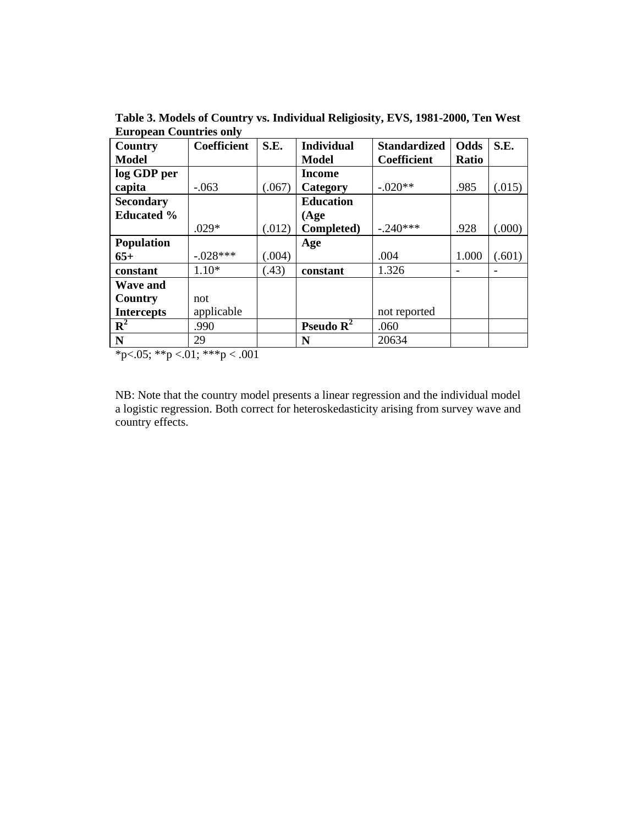| Country           | Coefficient | S.E.   | <b>Individual</b> | <b>Standardized</b> | Odds  | S.E.   |
|-------------------|-------------|--------|-------------------|---------------------|-------|--------|
| <b>Model</b>      |             |        | <b>Model</b>      | Coefficient         | Ratio |        |
| log GDP per       |             |        | Income            |                     |       |        |
| capita            | $-.063$     | (.067) | Category          | $-.020**$           | .985  | (.015) |
| <b>Secondary</b>  |             |        | <b>Education</b>  |                     |       |        |
| <b>Educated %</b> |             |        | (Age)             |                     |       |        |
|                   | $.029*$     | (.012) | Completed)        | $-.240***$          | .928  | (.000) |
| <b>Population</b> |             |        | Age               |                     |       |        |
| $65+$             | $-.028***$  | (.004) |                   | .004                | 1.000 | (.601) |
| constant          | $1.10*$     | (.43)  | constant          | 1.326               |       |        |
| <b>Wave and</b>   |             |        |                   |                     |       |        |
| Country           | not         |        |                   |                     |       |        |
| <b>Intercepts</b> | applicable  |        |                   | not reported        |       |        |
| $\mathbf{R}^2$    | .990        |        | Pseudo $R^2$      | .060                |       |        |
| N                 | 29          |        | N                 | 20634               |       |        |

**Table 3. Models of Country vs. Individual Religiosity, EVS, 1981-2000, Ten West European Countries only** 

\*p<.05; \*\*p <.01; \*\*\*p <.001

NB: Note that the country model presents a linear regression and the individual model a logistic regression. Both correct for heteroskedasticity arising from survey wave and country effects.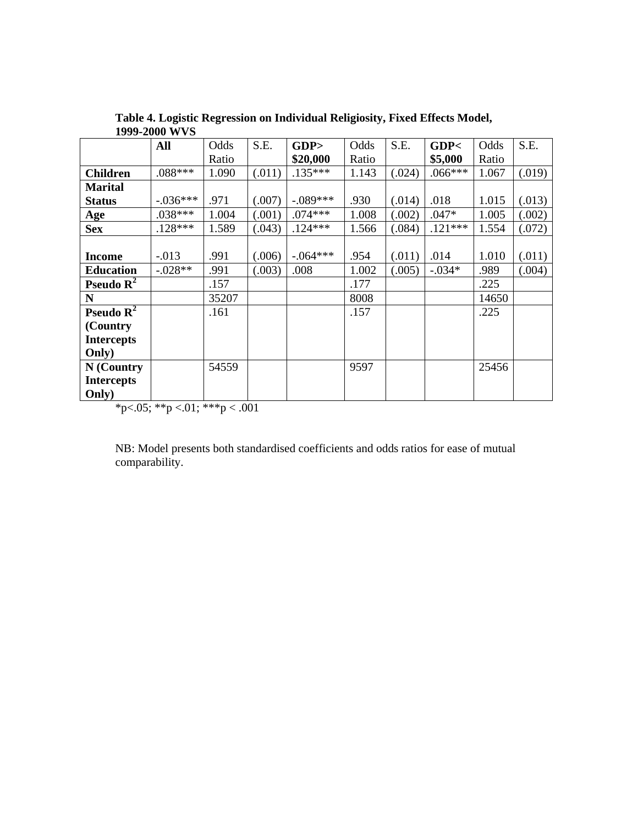|                       | <b>All</b> | Odds  | S.E.   | GDP        | Odds  | S.E.   | GDP<      | Odds  | S.E.   |
|-----------------------|------------|-------|--------|------------|-------|--------|-----------|-------|--------|
|                       |            | Ratio |        | \$20,000   | Ratio |        | \$5,000   | Ratio |        |
| <b>Children</b>       | .088***    | 1.090 | (.011) | $.135***$  | 1.143 | (.024) | $.066***$ | 1.067 | (.019) |
| <b>Marital</b>        |            |       |        |            |       |        |           |       |        |
| <b>Status</b>         | $-.036***$ | .971  | (.007) | $-.089***$ | .930  | (.014) | .018      | 1.015 | (.013) |
| Age                   | $.038***$  | 1.004 | (.001) | $.074***$  | 1.008 | (.002) | $.047*$   | 1.005 | (.002) |
| <b>Sex</b>            | $.128***$  | 1.589 | (.043) | $.124***$  | 1.566 | (.084) | $.121***$ | 1.554 | (.072) |
|                       |            |       |        |            |       |        |           |       |        |
| <b>Income</b>         | $-0.013$   | .991  | (.006) | $-.064***$ | .954  | (.011) | .014      | 1.010 | (.011) |
| <b>Education</b>      | $-.028**$  | .991  | (.003) | .008       | 1.002 | (.005) | $-.034*$  | .989  | (.004) |
| Pseudo $\mathbf{R}^2$ |            | .157  |        |            | .177  |        |           | .225  |        |
| N                     |            | 35207 |        |            | 8008  |        |           | 14650 |        |
| Pseudo $R^2$          |            | .161  |        |            | .157  |        |           | .225  |        |
| (Country)             |            |       |        |            |       |        |           |       |        |
| <b>Intercepts</b>     |            |       |        |            |       |        |           |       |        |
| Only)                 |            |       |        |            |       |        |           |       |        |
| N (Country            |            | 54559 |        |            | 9597  |        |           | 25456 |        |
| <b>Intercepts</b>     |            |       |        |            |       |        |           |       |        |
| Only)                 |            |       |        |            |       |        |           |       |        |

**Table 4. Logistic Regression on Individual Religiosity, Fixed Effects Model, 1999-2000 WVS**

 $*p<0.05; **p<0.01; ***p<0.001$ 

NB: Model presents both standardised coefficients and odds ratios for ease of mutual comparability.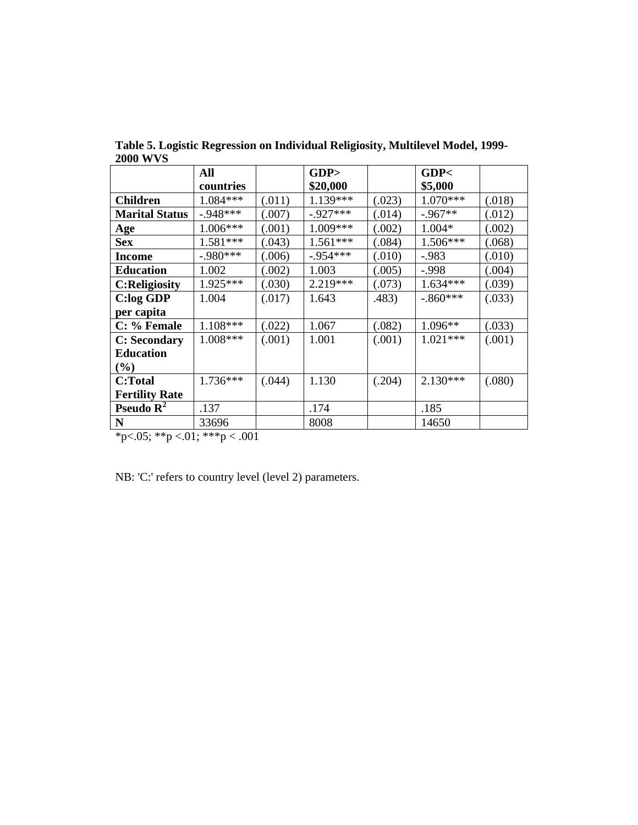|                       | All        |        | GDP         |        | GDP<       |        |
|-----------------------|------------|--------|-------------|--------|------------|--------|
|                       | countries  |        | \$20,000    |        | \$5,000    |        |
| <b>Children</b>       | 1.084***   | (.011) | $1.139***$  | (.023) | $1.070***$ | (.018) |
| <b>Marital Status</b> | $-.948***$ | (.007) | $-.927***$  | (.014) | $-.967**$  | (.012) |
| Age                   | $1.006***$ | (.001) | 1.009***    | (.002) | 1.004*     | (.002) |
| <b>Sex</b>            | $1.581***$ | (.043) | $1.561***$  | (.084) | 1.506***   | (.068) |
| <b>Income</b>         | $-.980***$ | (.006) | $-0.954***$ | (.010) | $-.983$    | (.010) |
| <b>Education</b>      | 1.002      | (.002) | 1.003       | (.005) | $-.998$    | (.004) |
| <b>C:Religiosity</b>  | 1.925***   | (.030) | 2.219 ***   | (.073) | $1.634***$ | (.039) |
| <b>C:log GDP</b>      | 1.004      | (.017) | 1.643       | .483)  | $-.860***$ | (.033) |
| per capita            |            |        |             |        |            |        |
| C: % Female           | 1.108***   | (.022) | 1.067       | (.082) | $1.096**$  | (.033) |
| <b>C: Secondary</b>   | $1.008***$ | (.001) | 1.001       | (.001) | $1.021***$ | (.001) |
| <b>Education</b>      |            |        |             |        |            |        |
| $(\%)$                |            |        |             |        |            |        |
| C:Total               | $1.736***$ | (.044) | 1.130       | (.204) | $2.130***$ | (.080) |
| <b>Fertility Rate</b> |            |        |             |        |            |        |
| Pseudo $\mathbf{R}^2$ | .137       |        | .174        |        | .185       |        |
| $\mathbf N$           | 33696      |        | 8008        |        | 14650      |        |

**Table 5. Logistic Regression on Individual Religiosity, Multilevel Model, 1999- 2000 WVS**

\*p<.05; \*\*p <.01; \*\*\*p < .001

NB: 'C:' refers to country level (level 2) parameters.